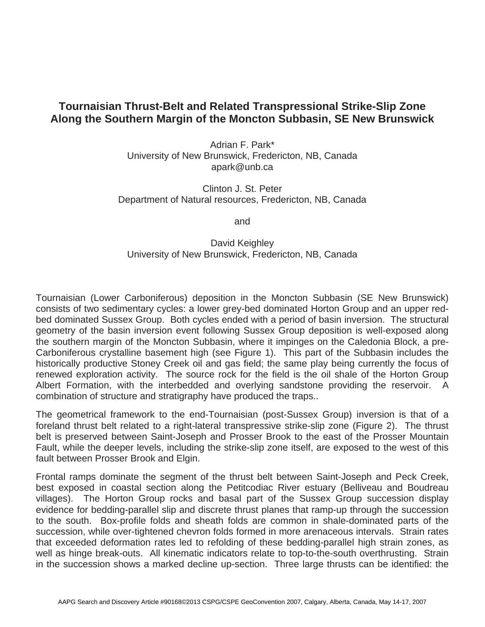## **Tournaisian Thrust-Belt and Related Transpressional Strike-Slip Zone Along the Southern Margin of the Moncton Subbasin, SE New Brunswick**

Adrian F. Park\* University of New Brunswick, Fredericton, NB, Canada apark@unb.ca

Clinton J. St. Peter Department of Natural resources, Fredericton, NB, Canada

and

## David Keighley University of New Brunswick, Fredericton, NB, Canada

Tournaisian (Lower Carboniferous) deposition in the Moncton Subbasin (SE New Brunswick) consists of two sedimentary cycles: a lower grey-bed dominated Horton Group and an upper redbed dominated Sussex Group. Both cycles ended with a period of basin inversion. The structural geometry of the basin inversion event following Sussex Group deposition is well-exposed along the southern margin of the Moncton Subbasin, where it impinges on the Caledonia Block, a pre-Carboniferous crystalline basement high (see Figure 1). This part of the Subbasin includes the historically productive Stoney Creek oil and gas field; the same play being currently the focus of renewed exploration activity. The source rock for the field is the oil shale of the Horton Group Albert Formation, with the interbedded and overlying sandstone providing the reservoir. A combination of structure and stratigraphy have produced the traps..

The geometrical framework to the end-Tournaisian (post-Sussex Group) inversion is that of a foreland thrust belt related to a right-lateral transpressive strike-slip zone (Figure 2). The thrust belt is preserved between Saint-Joseph and Prosser Brook to the east of the Prosser Mountain Fault, while the deeper levels, including the strike-slip zone itself, are exposed to the west of this fault between Prosser Brook and Elgin.

Frontal ramps dominate the segment of the thrust belt between Saint-Joseph and Peck Creek, best exposed in coastal section along the Petitcodiac River estuary (Belliveau and Boudreau villages). The Horton Group rocks and basal part of the Sussex Group succession display evidence for bedding-parallel slip and discrete thrust planes that ramp-up through the succession to the south. Box-profile folds and sheath folds are common in shale-dominated parts of the succession, while over-tightened chevron folds formed in more arenaceous intervals. Strain rates that exceeded deformation rates led to refolding of these bedding-parallel high strain zones, as well as hinge break-outs. All kinematic indicators relate to top-to-the-south overthrusting. Strain in the succession shows a marked decline up-section. Three large thrusts can be identified: the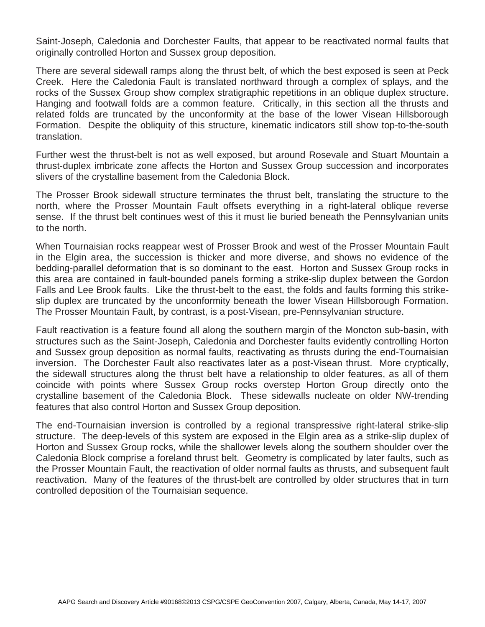Saint-Joseph, Caledonia and Dorchester Faults, that appear to be reactivated normal faults that originally controlled Horton and Sussex group deposition.

There are several sidewall ramps along the thrust belt, of which the best exposed is seen at Peck Creek. Here the Caledonia Fault is translated northward through a complex of splays, and the rocks of the Sussex Group show complex stratigraphic repetitions in an oblique duplex structure. Hanging and footwall folds are a common feature. Critically, in this section all the thrusts and related folds are truncated by the unconformity at the base of the lower Visean Hillsborough Formation. Despite the obliquity of this structure, kinematic indicators still show top-to-the-south translation.

Further west the thrust-belt is not as well exposed, but around Rosevale and Stuart Mountain a thrust-duplex imbricate zone affects the Horton and Sussex Group succession and incorporates slivers of the crystalline basement from the Caledonia Block.

The Prosser Brook sidewall structure terminates the thrust belt, translating the structure to the north, where the Prosser Mountain Fault offsets everything in a right-lateral oblique reverse sense. If the thrust belt continues west of this it must lie buried beneath the Pennsylvanian units to the north.

When Tournaisian rocks reappear west of Prosser Brook and west of the Prosser Mountain Fault in the Elgin area, the succession is thicker and more diverse, and shows no evidence of the bedding-parallel deformation that is so dominant to the east. Horton and Sussex Group rocks in this area are contained in fault-bounded panels forming a strike-slip duplex between the Gordon Falls and Lee Brook faults. Like the thrust-belt to the east, the folds and faults forming this strikeslip duplex are truncated by the unconformity beneath the lower Visean Hillsborough Formation. The Prosser Mountain Fault, by contrast, is a post-Visean, pre-Pennsylvanian structure.

Fault reactivation is a feature found all along the southern margin of the Moncton sub-basin, with structures such as the Saint-Joseph, Caledonia and Dorchester faults evidently controlling Horton and Sussex group deposition as normal faults, reactivating as thrusts during the end-Tournaisian inversion. The Dorchester Fault also reactivates later as a post-Visean thrust. More cryptically, the sidewall structures along the thrust belt have a relationship to older features, as all of them coincide with points where Sussex Group rocks overstep Horton Group directly onto the crystalline basement of the Caledonia Block. These sidewalls nucleate on older NW-trending features that also control Horton and Sussex Group deposition.

The end-Tournaisian inversion is controlled by a regional transpressive right-lateral strike-slip structure. The deep-levels of this system are exposed in the Elgin area as a strike-slip duplex of Horton and Sussex Group rocks, while the shallower levels along the southern shoulder over the Caledonia Block comprise a foreland thrust belt. Geometry is complicated by later faults, such as the Prosser Mountain Fault, the reactivation of older normal faults as thrusts, and subsequent fault reactivation. Many of the features of the thrust-belt are controlled by older structures that in turn controlled deposition of the Tournaisian sequence.